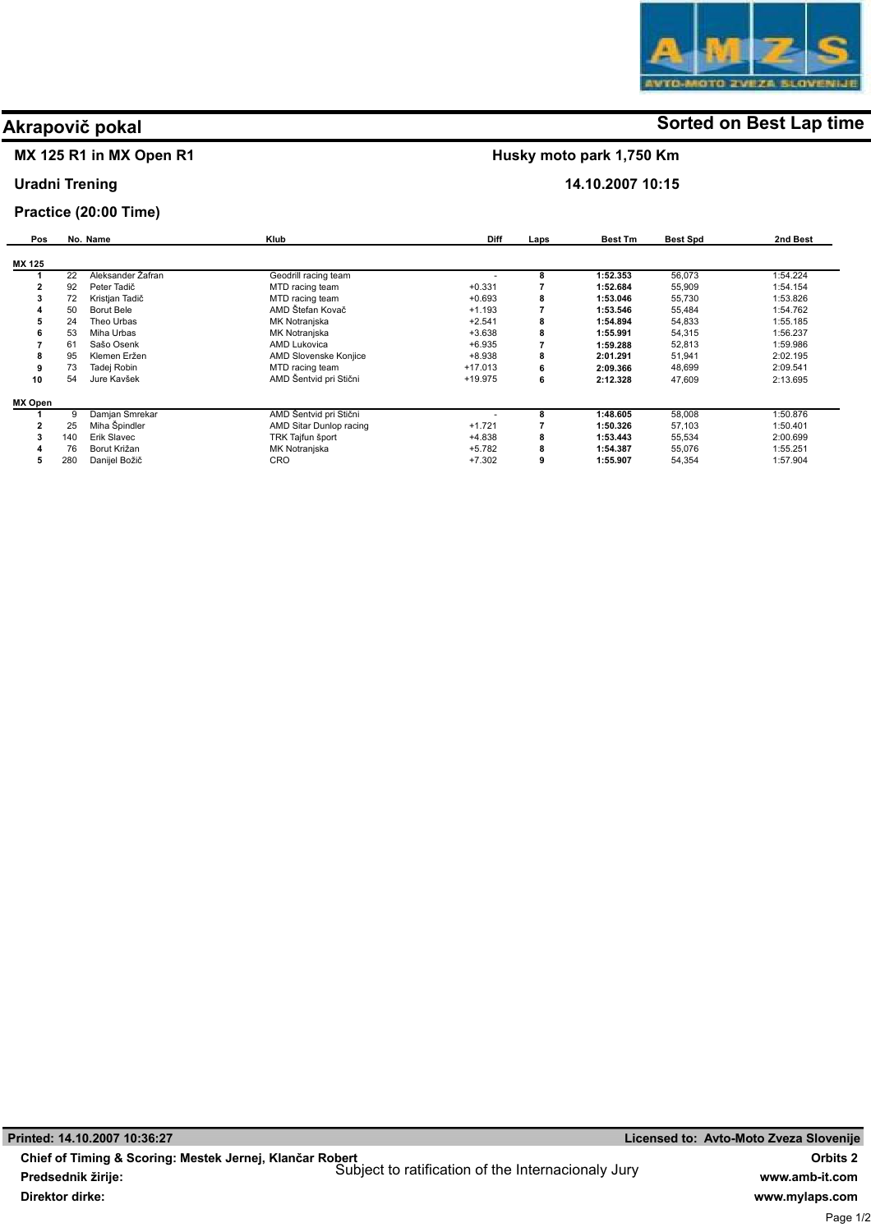# MX 125 R1 in MX Open R1

### Uradni Trening

### Practice (20:00 Time)

| Pos     |     | No. Name          | Klub                    | <b>Diff</b> | Laps | <b>Best Tm</b> | <b>Best Spd</b> | 2nd Best |
|---------|-----|-------------------|-------------------------|-------------|------|----------------|-----------------|----------|
| MX 125  |     |                   |                         |             |      |                |                 |          |
|         | 22  | Aleksander Zafran | Geodrill racing team    |             | 8    | 1:52.353       | 56,073          | 1:54.224 |
|         | 92  | Peter Tadič       | MTD racing team         | $+0.331$    |      | 1:52.684       | 55,909          | 1:54.154 |
|         | 72  | Kristjan Tadič    | MTD racing team         | $+0.693$    | 8    | 1:53.046       | 55,730          | 1:53.826 |
|         | 50  | Borut Bele        | AMD Štefan Kovač        | $+1.193$    |      | 1:53.546       | 55,484          | 1:54.762 |
|         | 24  | Theo Urbas        | MK Notranjska           | $+2.541$    | 8    | 1:54.894       | 54,833          | 1:55.185 |
| n       | 53  | Miha Urbas        | MK Notranjska           | $+3.638$    | 8    | 1:55.991       | 54,315          | 1:56.237 |
|         | 61  | Sašo Osenk        | AMD Lukovica            | $+6.935$    |      | 1:59.288       | 52,813          | 1:59.986 |
| 8       | 95  | Klemen Eržen      | AMD Slovenske Konjice   | $+8.938$    | 8    | 2:01.291       | 51,941          | 2:02.195 |
|         | 73  | Tadej Robin       | MTD racing team         | $+17.013$   | 6    | 2:09.366       | 48,699          | 2:09.541 |
| 10      | 54  | Jure Kavšek       | AMD Šentvid pri Stični  | $+19.975$   | 6    | 2:12.328       | 47,609          | 2:13.695 |
| MX Open |     |                   |                         |             |      |                |                 |          |
|         | 9   | Damjan Smrekar    | AMD Šentvid pri Stični  |             | 8    | 1:48.605       | 58,008          | 1:50.876 |
|         | 25  | Miha Špindler     | AMD Sitar Dunlop racing | $+1.721$    |      | 1:50.326       | 57,103          | 1:50.401 |
| 3       | 140 | Erik Slavec       | TRK Tajfun šport        | $+4.838$    | 8    | 1:53.443       | 55,534          | 2:00.699 |
|         | 76  | Borut Križan      | MK Notranjska           | $+5.782$    | 8    | 1:54.387       | 55,076          | 1:55.251 |
| 5       | 280 | Danijel Božič     | <b>CRO</b>              | $+7.302$    | 9    | 1:55.907       | 54,354          | 1:57.904 |

# **Akrapovič pokal Sorted on Best Lap time**

Husky moto park 1,750 Km

14.10.2007 10:15